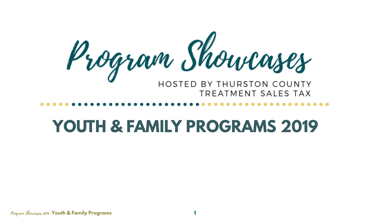

# **YOUTH & FAMILY PROGRAMS 2019**

Program Showcases 2019: **Youth & Family Programs 1**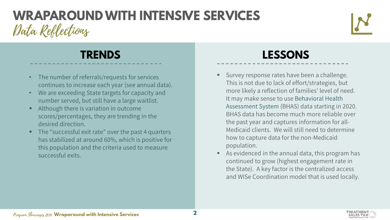# Data Reflections **WRAPAROUND WITH INTENSIVE SERVICES**



- The number of referrals/requests for services continues to increase each year (see annual data).
- We are exceeding State targets for capacity and number served, but still have a large waitlist.
- Although there is variation in outcome scores/percentages, they are trending in the desired direction.
- The "successful exit rate" over the past 4 quarters has stabilized at around 60%, which is positive for this population and the criteria used to measure successful exits.

- Survey response rates have been a challenge. This is not due to lack of effort/strategies, but more likely a reflection of families' level of need. It may make sense to use Behavioral Health Assessment System (BHAS) data starting in 2020. BHAS data has become much more reliable over the past year and captures information for all-Medicaid clients. We will still need to determine how to capture data for the non-Medicaid population.
- As evidenced in the annual data, this program has continued to grow (highest engagement rate in the State). A key factor is the centralized access and WISe Coordination model that is used locally.

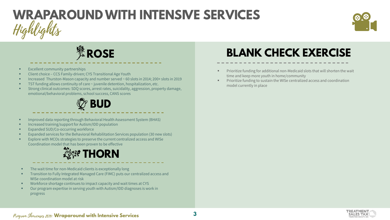# Highlights **WRAPAROUND WITH INTENSIVE SERVICES**



*L*<br>※ROSE

- $\blacksquare$  Excellent community partnerships
- Client choice CCS Family-driven; CYS Transitional Age Youth
- Increased Thurston-Mason capacity and number served ~ 60 slots in 2014; 200+ slots in 2019
- TST funding allows continuity of care ~ juvenile detention, hospitalization, etc.
- Strong clinical outcomes: SDQ scores, arrest rates, suicidality, aggression, property damage, emotional/behavioral problems, school success, CANS scores



- Improved data reporting through Behavioral Health Assessment System (BHAS)
- **Increased training/support for Autism/IDD population**
- Expanded SUD/Co-occurring workforce
- Expanded services for the Behavioral Rehabilitation Services population (30 new slots)
- Explore with MCOs strategies to preserve the current centralized access and WISe Coordination model that has been proven to be effective



- The wait time for non-Medicaid clients is exceptionally long
- Transition to Fully Integrated Managed Care (FIMC) puts our centralized access and WISe coordination model at risk
- Workforce shortage continues to impact capacity and wait times at CYS
- Our program expertise in serving youth with Autism/IDD diagnoses is work in progress

#### **BLANK CHECK EXERCISE**

- Prioritize funding for additional non-Medicaid slots that will shorten the wait time and keep more youth in home/community
- Prioritize funding to sustain the WISe centralized access and coordination model currently in place



#### Program Showcases 2019: **Wraparound with Intensive Services**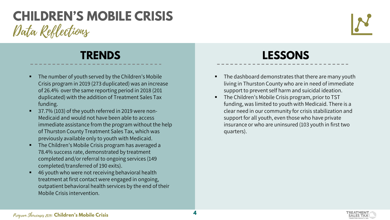## Data Reflections **CHILDREN'S MOBILE CRISIS**



- The number of youth served by the Children's Mobile Crisis program in 2019 (273 duplicated) was an increase of 26.4% over the same reporting period in 2018 (201 duplicated) with the addition of Treatment Sales Tax funding.
- 37.7% (103) of the youth referred in 2019 were non-Medicaid and would not have been able to access immediate assistance from the program without the help of Thurston County Treatment Sales Tax, which was previously available only to youth with Medicaid.
- The Children's Mobile Crisis program has averaged a 78.4% success rate, demonstrated by treatment completed and/or referral to ongoing services (149 completed/transferred of 190 exits).
- 46 youth who were not receiving behavioral health treatment at first contact were engaged in ongoing, outpatient behavioral health services by the end of their Mobile Crisis intervention.

- The dashboard demonstrates that there are many youth living in Thurston County who are in need of immediate support to prevent self harm and suicidal ideation.
- The Children's Mobile Crisis program, prior to TST funding, was limited to youth with Medicaid. There is a clear need in our community for crisis stabilization and support for all youth, even those who have private insurance or who are uninsured (103 youth in first two quarters).



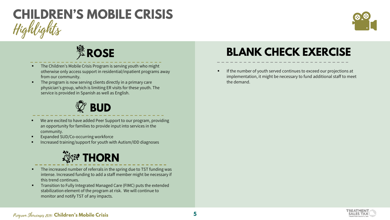# Highlights **CHILDREN'S MOBILE CRISIS**



# **&**ROSE

- The Children's Mobile Crisis Program is serving youth who might otherwise only access support in residential/inpatient programs away from our community.
- The program is now serving clients directly in a primary care physician's group, which is limiting ER visits for these youth. The service is provided in Spanish as well as English.



- We are excited to have added Peer Support to our program, providing an opportunity for families to provide input into services in the community.
- Expanded SUD/Co-occurring workforce
- Increased training/support for youth with Autism/IDD diagnoses



- The increased number of referrals in the spring due to TST funding was intense. Increased funding to add a staff member might be necessary if this trend continues.
- **Transition to Fully Integrated Managed Care (FIMC) puts the extended** stabilization element of the program at risk. We will continue to monitor and notify TST of any impacts.

#### **BLANK CHECK EXERCISE**

 If the number of youth served continues to exceed our projections at implementation, it might be necessary to fund additional staff to meet the demand.





#### Program Showcases 2019: **Children's Mobile Crisis**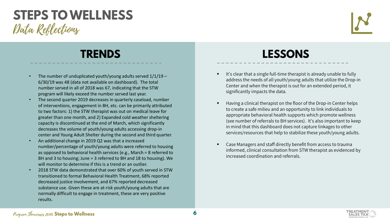#### Data Reflections **STEPS TO WELLNESS**



- The number of unduplicated youth/young adults served 1/1/19 6/30/19 was 48 (data not available on dashboard). The total number served in all of 2018 was 67, indicating that the STW program will likely exceed the number served last year.
- The second quarter 2019 decreases in quarterly caseload, number of interventions, engagement in BH, etc. can be primarily attributed to two factors: 1) the STW therapist was out on medical leave for greater than one month, and 2) Expanded cold weather sheltering capacity is discontinued at the end of March, which significantly decreases the volume of youth/young adults accessing drop-in center and Young Adult Shelter during the second and third quarter.
- An additional change in 2019 Q2 was that a increased number/percentage of youth/young adults were referred to housing as opposed to behavioral health services (e.g., March = 8 referred to BH and 3 to housing; June = 3 referred to BH and 18 to housing). We will monitor to determine if this is a trend or an outlier.
- 2018 STW data demonstrated that over 60% of youth served in STW transitioned to formal Behavioral Health Treatment, 68% reported decreased justice involvement, and 67% reported decreased substance use. Given these are at-risk youth/young adults that are normally difficult to engage in treatment, these are very positive results.

- It's clear that a single full-time therapist is already unable to fully address the needs of all youth/young adults that utilize the Drop-in Center and when the therapist is out for an extended period, it significantly impacts the data.
- Having a clinical therapist on the floor of the Drop-in Center helps to create a safe milieu and an opportunity to link individuals to appropriate behavioral health supports which promote wellness (see number of referrals to BH services). It's also important to keep in mind that this dashboard does not capture linkages to other services/resources that help to stabilize these youth/young adults.
- Case Managers and staff directly benefit from access to trauma informed, clinical consultation from STW therapist as evidenced by increased coordination and referrals.



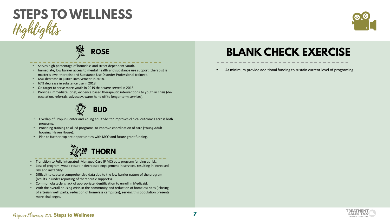



#### **ROSE**

- Serves high percentage of homeless and street dependent youth.
- Immediate, low barrier access to mental health and substance use support (therapist is master's level therapist and Substance Use Disorder Professional trainee).
- 68% decrease in justice involvement in 2018.
- 67% decrease in substance use in 2018.
- On target to serve more youth in 2019 than were served in 2018.
- Provides immediate, brief, evidence based therapeutic interventions to youth in crisis (deescalation, referrals, advocacy, warm hand off to longer term services).

**BUD**

- Overlap of Drop-in Center and Young adult Shelter improves clinical outcomes across both programs.
- Providing training to allied programs to improve coordination of care (Young Adult housing, Haven House).
- Plan to further explore opportunities with MCO and future grant funding.



- Transition to Fully Integrated Managed Care (FIMC) puts program funding at risk.
- Loss of program would result in decreased engagement in services, resulting in increased risk and instability.
- Difficult to capture comprehensive data due to the low barrier nature of the program (results in under reporting of therapeutic supports).
- Common obstacle is lack of appropriate identification to enroll in Medicaid.
- With the overall housing crisis in the community and reduction of homeless sites ( closing of artesian well, parks, reduction of homeless campsites), serving this population presents more challenges.

#### **BLANK CHECK EXERCISE**

At minimum provide additional funding to sustain current level of programing.



#### Program Showcases 2019: **Steps to Wellness**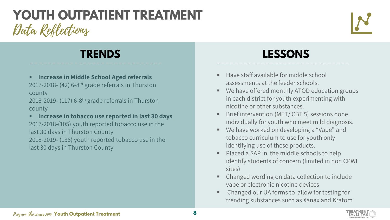# Data Reflections **YOUTH OUTPATIENT TREATMENT**



**Increase in Middle School Aged referrals** 2017-2018- (42) 6-8th grade referrals in Thurston county

2018-2019- (117) 6-8th grade referrals in Thurston county

**Increase in tobacco use reported in last 30 days** 2017-2018-(105) youth reported tobacco use in the last 30 days in Thurston County 2018-2019- (136) youth reported tobacco use in the last 30 days in Thurston County

- Have staff available for middle school assessments at the feeder schools.
- We have offered monthly ATOD education groups in each district for youth experimenting with nicotine or other substances.
- **Brief intervention (MET/ CBT 5) sessions done** individually for youth who meet mild diagnosis.
- We have worked on developing a "Vape" and tobacco curriculum to use for youth only identifying use of these products.
- Placed a SAP in the middle schools to help identify students of concern (limited in non CPWI sites)
- Changed wording on data collection to include vape or electronic nicotine devices
- Changed our UA forms to allow for testing for trending substances such as Xanax and Kratom

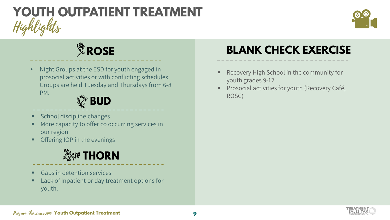# Highlights **YOUTH OUTPATIENT TREATMENT**



# *L*<br>※ROSE

• Night Groups at the ESD for youth engaged in prosocial activities or with conflicting schedules. Groups are held Tuesday and Thursdays from 6-8 PM.

## **BUD**

- School discipline changes
- More capacity to offer co occurring services in our region
- Offering IOP in the evenings

# **養經 THORN**

- Gaps in detention services
- Lack of Inpatient or day treatment options for youth.

## **BLANK CHECK EXERCISE**

- Recovery High School in the community for youth grades 9-12
- Prosocial activities for youth (Recovery Café, ROSC)

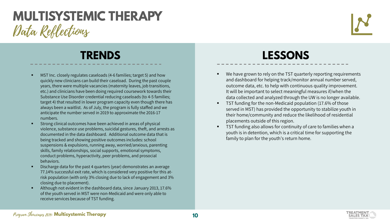## Data Reflections **MULTISYSTEMIC THERAPY**



- MST Inc. closely regulates caseloads (4-6 families; target 5) and how quickly new clinicians can build their caseload. During the past couple years, there were multiple vacancies (maternity leaves, job transitions, etc.) and clinicians have been doing required coursework towards their Substance Use Disorder credential reducing caseloads (to 4-5 families; target 4) that resulted in lower program capacity even though there has always been a waitlist. As of July, the program is fully staffed and we anticipate the number served in 2019 to approximate the 2016-17 numbers.
- Strong clinical outcomes have been achieved in areas of physical violence, substance use problems, suicidal gestures, theft, and arrests as documented in the data dashboard. Additional outcome data that is being tracked and showing positive outcomes includes: school suspensions & expulsions, running away, worried/anxious, parenting skills, family relationships, social supports, emotional symptoms, conduct problems, hyperactivity, peer problems, and prosocial behaviors.
- Discharge data for the past 4 quarters (year) demonstrates an average 77.14% successful exit rate, which is considered very positive for this atrisk population (with only 3% closing due to lack of engagement and 3% closing due to placement).
- Although not evident in the dashboard data, since January 2013, 17.6% of the youth served in MST were non-Medicaid and were only able to receive services because of TST funding.

- We have grown to rely on the TST quarterly reporting requirements and dashboard for helping track/monitor annual number served, outcome data, etc. to help with continuous quality improvement. It will be important to select meaningful measures if/when the data collected and analyzed through the UW is no longer available.
- TST funding for the non-Medicaid population (17.6% of those served in MST) has provided the opportunity to stabilize youth in their home/community and reduce the likelihood of residential placements outside of this region.
- TST funding also allows for continuity of care to families when a youth is in detention, which is a critical time for supporting the family to plan for the youth's return home.



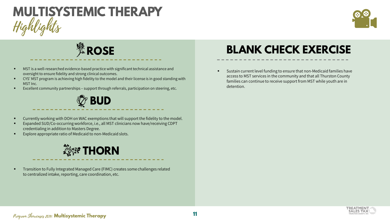# Highlights **MULTISYSTEMIC THERAPY**



# *L*<br>※ROSE

- MST is a well-researched evidence-based practice with significant technical assistance and oversight to ensure fidelity and strong clinical outcomes.
- CYS' MST program is achieving high fidelity to the model and their license is in good standing with MST Inc.
- Excellent community partnerships support through referrals, participation on steering, etc.

#### **BUD**

- Currently working with DOH on WAC exemptions that will support the fidelity to the model.
- Expanded SUD/Co-occurring workforce, i.e., all MST clinicians now have/receiving CDPT credentialing in addition to Masters Degree.
- Explore appropriate ratio of Medicaid to non-Medicaid slots.

## **養孵 THORN**

 Transition to Fully Integrated Managed Care (FIMC) creates some challenges related to centralized intake, reporting, care coordination, etc.

#### **BLANK CHECK EXERCISE**

 Sustain current level funding to ensure that non-Medicaid families have access to MST services in the community and that all Thurston County families can continue to receive support from MST while youth are in detention.



#### Program Showcases 2019: **Multisystemic Therapy**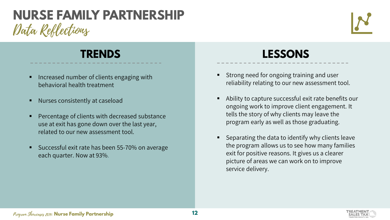## Data Reflections **NURSE FAMILY PARTNERSHIP**



- Increased number of clients engaging with behavioral health treatment
- Nurses consistently at caseload
- Percentage of clients with decreased substance use at exit has gone down over the last year, related to our new assessment tool.
- Successful exit rate has been 55-70% on average each quarter. Now at 93%.

- Strong need for ongoing training and user reliability relating to our new assessment tool.
- Ability to capture successful exit rate benefits our ongoing work to improve client engagement. It tells the story of why clients may leave the program early as well as those graduating.
- Separating the data to identify why clients leave the program allows us to see how many families exit for positive reasons. It gives us a clearer picture of areas we can work on to improve service delivery.

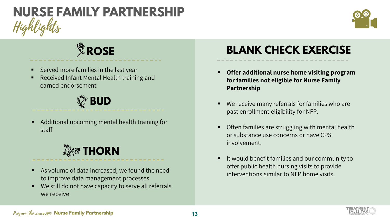# Highlights **NURSE FAMILY PARTNERSHIP**



# **※ROSE**

- Served more families in the last year
- Received Infant Mental Health training and earned endorsement

## **BUD**

 Additional upcoming mental health training for staff

# **養孵 THORN**

- As volume of data increased, we found the need to improve data management processes
- We still do not have capacity to serve all referrals we receive

#### **BLANK CHECK EXERCISE**

- **Offer additional nurse home visiting program for families not eligible for Nurse Family Partnership**
- We receive many referrals for families who are past enrollment eligibility for NFP.
- Often families are struggling with mental health or substance use concerns or have CPS involvement.
- It would benefit families and our community to offer public health nursing visits to provide interventions similar to NFP home visits.



#### Program Showcases 2019: **Nurse Family Partnership**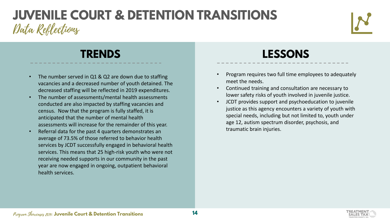### Data Reflections **JUVENILE COURT & DETENTION TRANSITIONS**



- The number served in Q1 & Q2 are down due to staffing vacancies and a decreased number of youth detained. The decreased staffing will be reflected in 2019 expenditures.
- The number of assessments/mental health assessments conducted are also impacted by staffing vacancies and census. Now that the program is fully staffed, it is anticipated that the number of mental health assessments will increase for the remainder of this year.
- Referral data for the past 4 quarters demonstrates an average of 73.5% of those referred to behavior health services by JCDT successfully engaged in behavioral health services. This means that 25 high-risk youth who were not receiving needed supports in our community in the past year are now engaged in ongoing, outpatient behavioral health services.

- Program requires two full time employees to adequately meet the needs.
- Continued training and consultation are necessary to lower safety risks of youth involved in juvenile justice.
- JCDT provides support and psychoeducation to juvenile justice as this agency encounters a variety of youth with special needs, including but not limited to, youth under age 12, autism spectrum disorder, psychosis, and traumatic brain injuries.

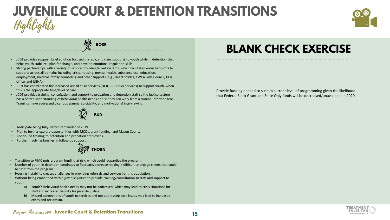### Highlights **JUVENILE COURT & DETENTION TRANSITIONS**



**ROSE**

- JCDT provides support, brief solution focused therapy, and crisis supports to youth while in detention that helps youth stabilize, plan for change, and develop emotional regulation skills.
- Strong partnerships with a variety of service providers/allied systems, which facilitates warm hand-offs to supports across all domains including crisis, housing, mental health, substance use, education, employment, medical, family counseling and other supports (e.g., Heart Strides, YWCA Girls Council, DCR office, and JJBHA).
- JCDT has coordinated the increased use of crisis services (DCR, CCS-Crisis Services) to support youth, when this is the appropriate type/level of care.
- JCDT provides training, consultation, and support to probation and detention staff so the justice system has a better understanding of behavioral health needs and so they can work from a trauma-informed lens. Trainings have addressed vicarious trauma, suicidality, and motivational interviewing.



- Anticipate being fully staffed remainder of 2019.
- Plan to further explore opportunities with MCOs, grant funding, and Mason County.
- Continued training to detention and probation employees.
- Further involving families in follow-up support.



- Transition to FIMC puts program funding at risk, which could jeopardize the program.
- Number of youth in detention continues to fluctuate/decrease making it difficult to engage clients that could benefit from the program.
- Housing instability creates challenges in providing referrals and services for this population.
- Without being embedded within juvenile justice to provide training/consultation to staff and support to youth:
	- a) Youth's behavioral health needs may not be addressed, which may lead to crisis situations for staff and increased liability for juvenile justice.
	- b) Missed connections of youth to services and not addressing core issues may lead to increased crises and recidivism.

#### **BLANK CHECK EXERCISE**

Provide funding needed to sustain current level of programming given the likelihood that Federal Block Grant and State Only funds will be decreased/unavailable in 2020.



#### Program Showcases 2019: **Juvenile Court & Detention Transitions**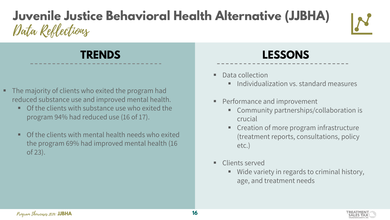## Data Reflections **Juvenile Justice Behavioral Health Alternative (JJBHA)**



- The majority of clients who exited the program had reduced substance use and improved mental health.
	- **Of the clients with substance use who exited the** program 94% had reduced use (16 of 17).
	- **Of the clients with mental health needs who exited** the program 69% had improved mental health (16 of 23).

- Data collection
	- **Individualization vs. standard measures**
- Performance and improvement
	- **Community partnerships/collaboration is** crucial
	- **Creation of more program infrastructure** (treatment reports, consultations, policy etc.)
- Clients served
	- Wide variety in regards to criminal history, age, and treatment needs

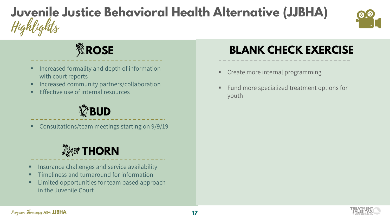# Highlights **Juvenile Justice Behavioral Health Alternative (JJBHA)**



# **紫ROSE**

- Increased formality and depth of information with court reports
- Increased community partners/collaboration
- Effective use of internal resources

## *C*BUD

Consultations/team meetings starting on 9/9/19

## **養經 THORN**

- **Insurance challenges and service availability**
- **F** Timeliness and turnaround for information
- **EXECUTE:** Limited opportunities for team based approach in the Juvenile Court

#### **BLANK CHECK EXERCISE**

- Create more internal programming
- Fund more specialized treatment options for youth

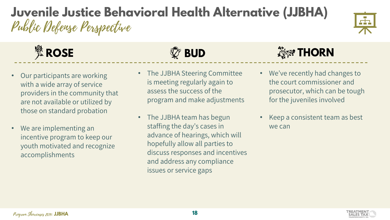## Public Defense Perspective **Juvenile Justice Behavioral Health Alternative (JJBHA)**



- Our participants are working with a wide array of service providers in the community that are not available or utilized by those on standard probation
- We are implementing an incentive program to keep our youth motivated and recognize accomplishments



- The JJBHA Steering Committee is meeting regularly again to assess the success of the program and make adjustments
- The JJBHA team has begun staffing the day's cases in advance of hearings, which will hopefully allow all parties to discuss responses and incentives and address any compliance issues or service gaps

# **ROSE BUD THORN**

- We've recently had changes to the court commissioner and prosecutor, which can be tough for the juveniles involved
- Keep a consistent team as best we can



F in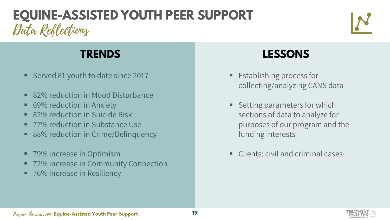# Data Reflections **EQUINE-ASSISTED YOUTH PEER SUPPORT**



- Served 81 youth to date since 2017
- 82% reduction in Mood Disturbance
- 69% reduction in Anxiety
- 82% reduction in Suicide Risk
- 77% reduction in Substance Use
- 88% reduction in Crime/Delinquency
- 79% increase in Optimism
- 72% increase in Community Connection
- 76% increase in Resiliency

- **Establishing process for** collecting/analyzing CANS data
- Setting parameters for which sections of data to analyze for purposes of our program and the funding interests
- Clients: civil and criminal cases

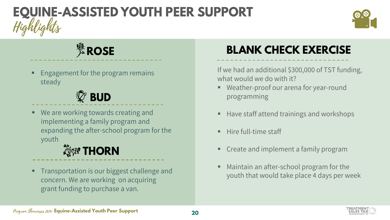# Highlights **EQUINE-ASSISTED YOUTH PEER SUPPORT**



# *L*<br>※ROSE

 Engagement for the program remains steady

# **BUD**

 We are working towards creating and implementing a family program and expanding the after-school program for the youth

# **<b>Exact THORN**

 Transportation is our biggest challenge and concern. We are working on acquiring grant funding to purchase a van.

## **BLANK CHECK EXERCISE**

If we had an additional \$300,000 of TST funding, what would we do with it?

- Weather-proof our arena for year-round programming
- Have staff attend trainings and workshops
- Hire full-time staff
- Create and implement a family program
- Maintain an after-school program for the youth that would take place 4 days per week

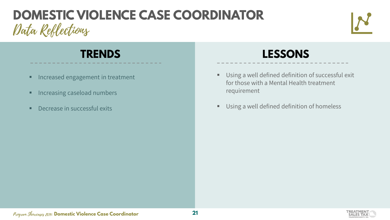# Data Reflections **DOMESTIC VIOLENCE CASE COORDINATOR**



- **Increased engagement in treatment**
- **Increasing caseload numbers**
- **Decrease in successful exits**



- Using a well defined definition of successful exit for those with a Mental Health treatment requirement
- **Using a well defined definition of homeless**

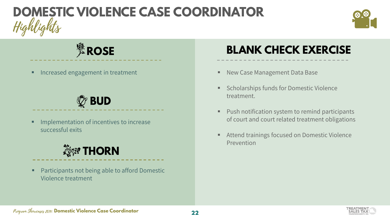# Highlights **DOMESTIC VIOLENCE CASE COORDINATOR**



# *<br />
<b>ROSE*

## **BUD**

 Implementation of incentives to increase successful exits

## **養經 THORN**

 Participants not being able to afford Domestic Violence treatment

#### **BLANK CHECK EXERCISE**

- Increased engagement in treatment **New Case Management Data Base** 
	- Scholarships funds for Domestic Violence treatment.
	- Push notification system to remind participants of court and court related treatment obligations
	- Attend trainings focused on Domestic Violence Prevention

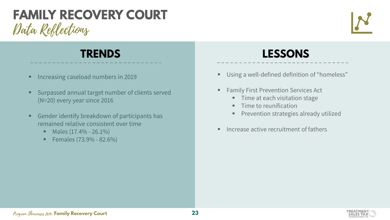### Data Reflections **FAMILY RECOVERY COURT**



- **Increasing caseload numbers in 2019**
- Surpassed annual target number of clients served (N=20) every year since 2016
- Gender identify breakdown of participants has remained relative consistent over time
	- $\blacksquare$  Males (17.4% 26.1%)
	- Females (73.9% 82.6%)

- Using a well-defined definition of "homeless"
- Family First Prevention Services Act
	- **Time at each visitation stage**
	- **Time to reunification**
	- **Prevention strategies already utilized**
- Increase active recruitment of fathers

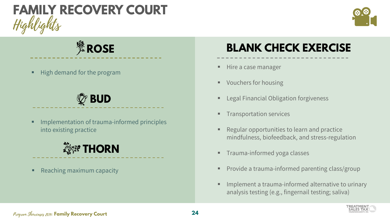



*L*<br>※ROSE

High demand for the program

# *C* BUD

 Implementation of trauma-informed principles into existing practice



Reaching maximum capacity

#### **BLANK CHECK EXERCISE**

- Hire a case manager
- Vouchers for housing
- Legal Financial Obligation forgiveness
- Transportation services
- Regular opportunities to learn and practice mindfulness, biofeedback, and stress-regulation
- Trauma-informed yoga classes
- Provide a trauma-informed parenting class/group
- Implement a trauma-informed alternative to urinary analysis testing (e.g., fingernail testing; saliva)



#### Program Showcases 2019: **Family Recovery Court**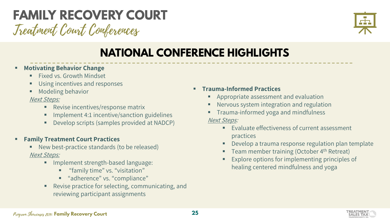#### Treatment Court Conferences **FAMILY RECOVERY COURT**

### **NATIONAL CONFERENCE HIGHLIGHTS**

#### **Motivating Behavior Change**

- **Fixed vs. Growth Mindset**
- Using incentives and responses
- Modeling behavior

#### Next Steps:

- **Revise incentives/response matrix**
- **IMPLEMENT 4:1 incentive/sanction guidelines**
- **Develop scripts (samples provided at NADCP)**

#### **Family Treatment Court Practices**

- New best-practice standards (to be released) Next Steps:
	- **Implement strength-based language:** 
		- **"** "family time" vs. "visitation"
		- **"** "adherence" vs. "compliance"
	- Revise practice for selecting, communicating, and reviewing participant assignments

#### **Trauma-Informed Practices**

- Appropriate assessment and evaluation
- Nervous system integration and regulation
- **Trauma-informed yoga and mindfulness** Next Steps:
	- **Evaluate effectiveness of current assessment** practices
	- Develop a trauma response regulation plan template
	- Team member training (October  $4<sup>th</sup>$  Retreat)
	- Explore options for implementing principles of healing centered mindfulness and yoga